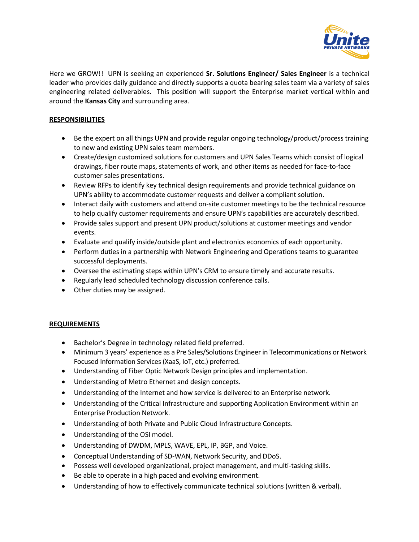

Here we GROW!! UPN is seeking an experienced **Sr. Solutions Engineer/ Sales Engineer** is a technical leader who provides daily guidance and directly supports a quota bearing sales team via a variety of sales engineering related deliverables. This position will support the Enterprise market vertical within and around the **Kansas City** and surrounding area.

## **RESPONSIBILITIES**

- Be the expert on all things UPN and provide regular ongoing technology/product/process training to new and existing UPN sales team members.
- Create/design customized solutions for customers and UPN Sales Teams which consist of logical drawings, fiber route maps, statements of work, and other items as needed for face-to-face customer sales presentations.
- Review RFPs to identify key technical design requirements and provide technical guidance on UPN's ability to accommodate customer requests and deliver a compliant solution.
- Interact daily with customers and attend on-site customer meetings to be the technical resource to help qualify customer requirements and ensure UPN's capabilities are accurately described.
- Provide sales support and present UPN product/solutions at customer meetings and vendor events.
- Evaluate and qualify inside/outside plant and electronics economics of each opportunity.
- Perform duties in a partnership with Network Engineering and Operations teams to guarantee successful deployments.
- Oversee the estimating steps within UPN's CRM to ensure timely and accurate results.
- Regularly lead scheduled technology discussion conference calls.
- Other duties may be assigned.

## **REQUIREMENTS**

- Bachelor's Degree in technology related field preferred.
- Minimum 3 years' experience as a Pre Sales/Solutions Engineer in Telecommunications or Network Focused Information Services (XaaS, IoT, etc.) preferred.
- Understanding of Fiber Optic Network Design principles and implementation.
- Understanding of Metro Ethernet and design concepts.
- Understanding of the Internet and how service is delivered to an Enterprise network.
- Understanding of the Critical Infrastructure and supporting Application Environment within an Enterprise Production Network.
- Understanding of both Private and Public Cloud Infrastructure Concepts.
- Understanding of the OSI model.
- Understanding of DWDM, MPLS, WAVE, EPL, IP, BGP, and Voice.
- Conceptual Understanding of SD-WAN, Network Security, and DDoS.
- Possess well developed organizational, project management, and multi-tasking skills.
- Be able to operate in a high paced and evolving environment.
- Understanding of how to effectively communicate technical solutions (written & verbal).